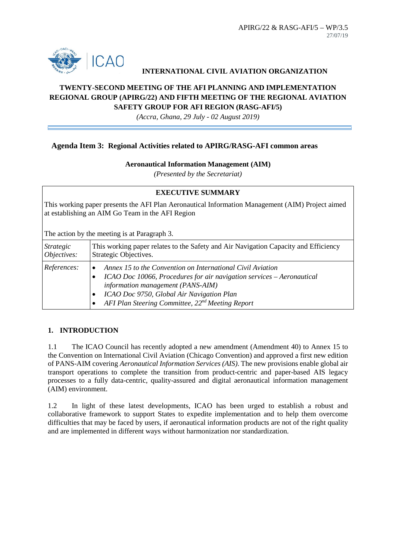

## **INTERNATIONAL CIVIL AVIATION ORGANIZATION**

# **TWENTY-SECOND MEETING OF THE AFI PLANNING AND IMPLEMENTATION REGIONAL GROUP (APIRG/22) AND FIFTH MEETING OF THE REGIONAL AVIATION SAFETY GROUP FOR AFI REGION (RASG-AFI/5)**

*(Accra, Ghana, 29 July - 02 August 2019)*

### **Agenda Item 3: Regional Activities related to APIRG/RASG-AFI common areas**

#### **Aeronautical Information Management (AIM)**

*(Presented by the Secretariat)*

### **EXECUTIVE SUMMARY**

This working paper presents the AFI Plan Aeronautical Information Management (AIM) Project aimed at establishing an AIM Go Team in the AFI Region

The action by the meeting is at Paragraph 3.

| Strategic   | This working paper relates to the Safety and Air Navigation Capacity and Efficiency                                                                                                                                                                                                   |
|-------------|---------------------------------------------------------------------------------------------------------------------------------------------------------------------------------------------------------------------------------------------------------------------------------------|
| Objectives: | Strategic Objectives.                                                                                                                                                                                                                                                                 |
| References: | Annex 15 to the Convention on International Civil Aviation<br>ICAO Doc 10066, Procedures for air navigation services - Aeronautical<br>information management (PANS-AIM)<br>ICAO Doc 9750, Global Air Navigation Plan<br>AFI Plan Steering Committee, 22 <sup>nd</sup> Meeting Report |

## **1. INTRODUCTION**

1.1 The ICAO Council has recently adopted a new amendment (Amendment 40) to Annex 15 to the Convention on International Civil Aviation (Chicago Convention) and approved a first new edition of PANS-AIM covering *Aeronautical Information Services (AIS)*. The new provisions enable global air transport operations to complete the transition from product-centric and paper-based AIS legacy processes to a fully data-centric, quality-assured and digital aeronautical information management (AIM) environment.

1.2 In light of these latest developments, ICAO has been urged to establish a robust and collaborative framework to support States to expedite implementation and to help them overcome difficulties that may be faced by users, if aeronautical information products are not of the right quality and are implemented in different ways without harmonization nor standardization.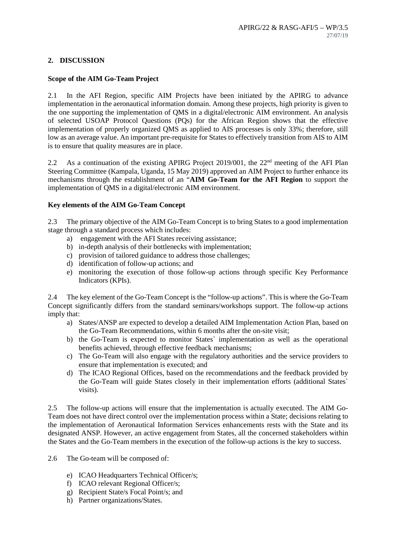# **2. DISCUSSION**

### **Scope of the AIM Go-Team Project**

2.1 In the AFI Region, specific AIM Projects have been initiated by the APIRG to advance implementation in the aeronautical information domain. Among these projects, high priority is given to the one supporting the implementation of QMS in a digital/electronic AIM environment. An analysis of selected USOAP Protocol Questions (PQs) for the African Region shows that the effective implementation of properly organized QMS as applied to AIS processes is only 33%; therefore, still low as an average value. An important pre-requisite for States to effectively transition from AIS to AIM is to ensure that quality measures are in place.

2.2 As a continuation of the existing APIRG Project 2019/001, the 22<sup>nd</sup> meeting of the AFI Plan Steering Committee (Kampala, Uganda, 15 May 2019) approved an AIM Project to further enhance its mechanisms through the establishment of an "**AIM Go-Team for the AFI Region** to support the implementation of QMS in a digital/electronic AIM environment.

## **Key elements of the AIM Go-Team Concept**

2.3 The primary objective of the AIM Go-Team Concept is to bring States to a good implementation stage through a standard process which includes:

- a) engagement with the AFI States receiving assistance;
- b) in-depth analysis of their bottlenecks with implementation;
- c) provision of tailored guidance to address those challenges;
- d) identification of follow-up actions; and
- e) monitoring the execution of those follow-up actions through specific Key Performance Indicators (KPIs).

2.4 The key element of the Go-Team Concept is the "follow-up actions". This is where the Go-Team Concept significantly differs from the standard seminars/workshops support. The follow-up actions imply that:

- a) States/ANSP are expected to develop a detailed AIM Implementation Action Plan, based on the Go-Team Recommendations, within 6 months after the on-site visit;
- b) the Go-Team is expected to monitor States` implementation as well as the operational benefits achieved, through effective feedback mechanisms;
- c) The Go-Team will also engage with the regulatory authorities and the service providers to ensure that implementation is executed; and
- d) The ICAO Regional Offices, based on the recommendations and the feedback provided by the Go-Team will guide States closely in their implementation efforts (additional States` visits).

2.5 The follow-up actions will ensure that the implementation is actually executed. The AIM Go-Team does not have direct control over the implementation process within a State; decisions relating to the implementation of Aeronautical Information Services enhancements rests with the State and its designated ANSP. However, an active engagement from States, all the concerned stakeholders within the States and the Go-Team members in the execution of the follow-up actions is the key to success.

2.6 The Go-team will be composed of:

- e) ICAO Headquarters Technical Officer/s;
- f) ICAO relevant Regional Officer/s;
- g) Recipient State/s Focal Point/s; and
- h) Partner organizations/States.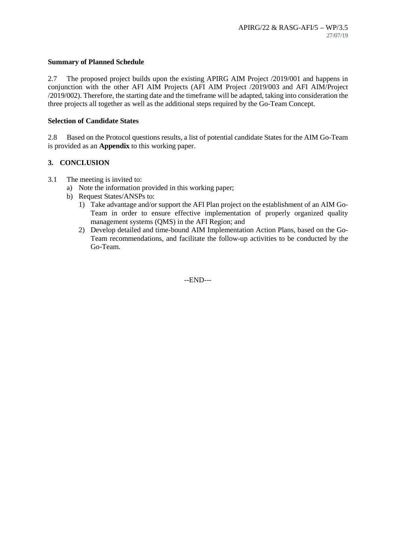#### **Summary of Planned Schedule**

2.7 The proposed project builds upon the existing APIRG AIM Project  $/2019/001$  and happens in conjunction with the other AFI AIM Projects (AFI AIM Project /2019/003 and AFI AIM/Project /2019/002). Therefore, the starting date and the timeframe will be adapted, taking into consideration the three projects all together as well as the additional steps required by the Go-Team Concept.

#### **Selection of Candidate States**

2.8 Based on the Protocol questions results, a list of potential candidate States for the AIM Go-Team is provided as an **Appendix** to this working paper.

### **3. CONCLUSION**

- 3.1 The meeting is invited to:
	- a) Note the information provided in this working paper;
	- b) Request States/ANSPs to:
		- 1) Take advantage and/or support the AFI Plan project on the establishment of an AIM Go-Team in order to ensure effective implementation of properly organized quality management systems (QMS) in the AFI Region; and
		- 2) Develop detailed and time-bound AIM Implementation Action Plans, based on the Go-Team recommendations, and facilitate the follow-up activities to be conducted by the Go-Team.

--END---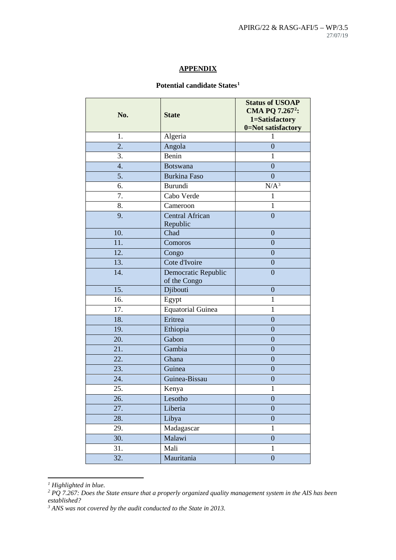### **APPENDIX**

# **Potential candidate States[1](#page-3-0)**

| No.              | <b>State</b>                        | <b>Status of USOAP</b><br>CMA PQ 7.267 <sup>2</sup> :<br>1=Satisfactory<br>0=Not satisfactory |
|------------------|-------------------------------------|-----------------------------------------------------------------------------------------------|
| 1.               | Algeria                             | 1                                                                                             |
| $\overline{2}$ . | Angola                              | $\overline{0}$                                                                                |
| 3.               | Benin                               | $\mathbf{1}$                                                                                  |
| 4.               | <b>Botswana</b>                     | $\overline{0}$                                                                                |
| 5.               | <b>Burkina Faso</b>                 | $\overline{0}$                                                                                |
| 6.               | Burundi                             | N/A <sup>3</sup>                                                                              |
| 7.               | Cabo Verde                          | $\mathbf{1}$                                                                                  |
| 8.               | Cameroon                            | $\mathbf{1}$                                                                                  |
| 9.               | <b>Central African</b><br>Republic  | $\overline{0}$                                                                                |
| 10.              | Chad                                | $\overline{0}$                                                                                |
| 11.              | Comoros                             | $\overline{0}$                                                                                |
| 12.              | Congo                               | $\overline{0}$                                                                                |
| 13.              | Cote d'Ivoire                       | $\overline{0}$                                                                                |
| 14.              | Democratic Republic<br>of the Congo | $\overline{0}$                                                                                |
| 15.              | Djibouti                            | $\overline{0}$                                                                                |
| 16.              | Egypt                               | 1                                                                                             |
| 17.              | Equatorial Guinea                   | $\mathbf{1}$                                                                                  |
| 18.              | Eritrea                             | $\overline{0}$                                                                                |
| 19.              | Ethiopia                            | $\overline{0}$                                                                                |
| 20.              | Gabon                               | $\overline{0}$                                                                                |
| 21.              | Gambia                              | $\overline{0}$                                                                                |
| 22.              | Ghana                               | $\overline{0}$                                                                                |
| 23.              | Guinea                              | $\overline{0}$                                                                                |
| 24.              | Guinea-Bissau                       | $\boldsymbol{0}$                                                                              |
| 25.              | Kenya                               | $\mathbf{1}$                                                                                  |
| 26.              | Lesotho                             | $\boldsymbol{0}$                                                                              |
| 27.              | Liberia                             | $\overline{0}$                                                                                |
| 28.              | Libya                               | $\boldsymbol{0}$                                                                              |
| 29.              | Madagascar                          | $\mathbf{1}$                                                                                  |
| 30.              | Malawi                              | $\boldsymbol{0}$                                                                              |
| 31.              | Mali                                | $\mathbf{1}$                                                                                  |
| 32.              | Mauritania                          | $\overline{0}$                                                                                |

<span id="page-3-0"></span>*<sup>1</sup> Highlighted in blue.*

<u>.</u>

<span id="page-3-1"></span>*<sup>2</sup> PQ 7.267: Does the State ensure that a properly organized quality management system in the AIS has been established?*

<span id="page-3-2"></span>*<sup>3</sup> ANS was not covered by the audit conducted to the State in 2013.*